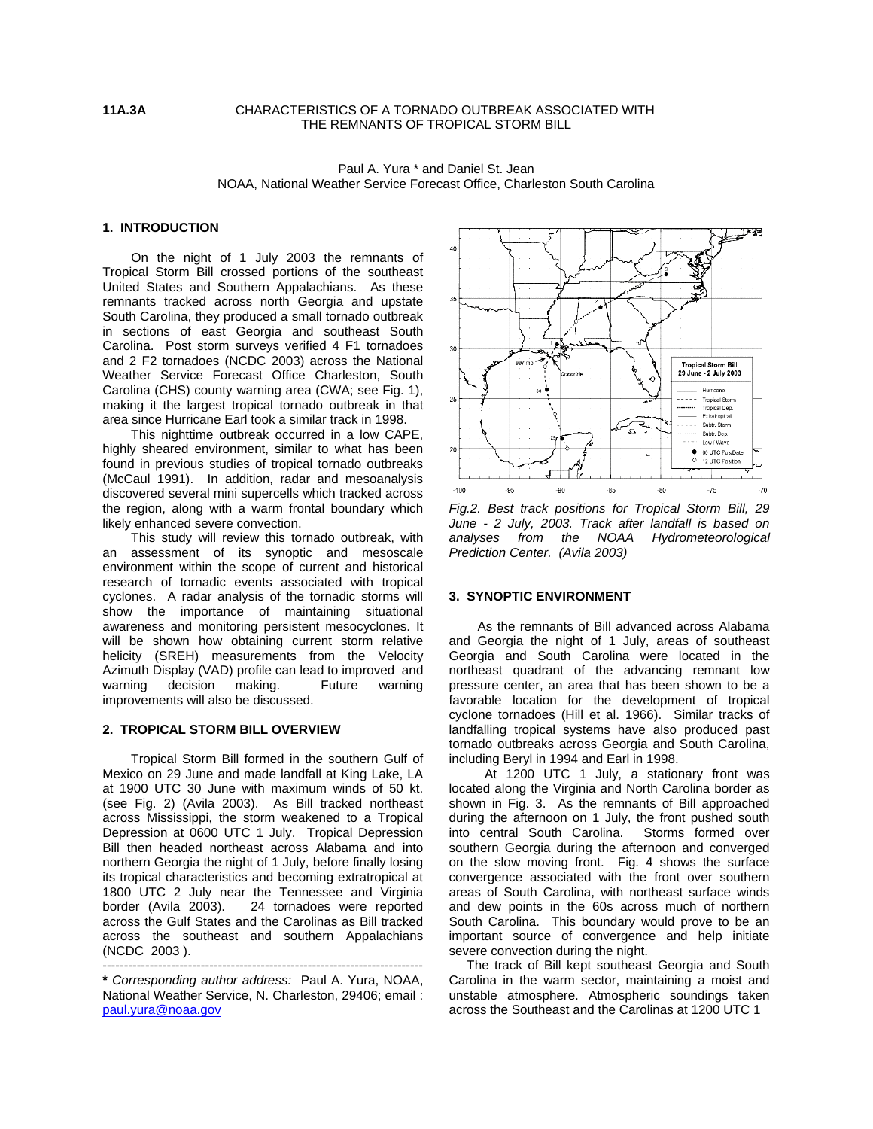# **11A.3A** CHARACTERISTICS OF A TORNADO OUTBREAK ASSOCIATED WITH THE REMNANTS OF TROPICAL STORM BILL

### Paul A. Yura \* and Daniel St. Jean NOAA, National Weather Service Forecast Office, Charleston South Carolina

# **1. INTRODUCTION**

 On the night of 1 July 2003 the remnants of Tropical Storm Bill crossed portions of the southeast United States and Southern Appalachians. As these remnants tracked across north Georgia and upstate South Carolina, they produced a small tornado outbreak in sections of east Georgia and southeast South Carolina. Post storm surveys verified 4 F1 tornadoes and 2 F2 tornadoes (NCDC 2003) across the National Weather Service Forecast Office Charleston, South Carolina (CHS) county warning area (CWA; see Fig. 1), making it the largest tropical tornado outbreak in that area since Hurricane Earl took a similar track in 1998.

 This nighttime outbreak occurred in a low CAPE, highly sheared environment, similar to what has been found in previous studies of tropical tornado outbreaks (McCaul 1991). In addition, radar and mesoanalysis discovered several mini supercells which tracked across the region, along with a warm frontal boundary which likely enhanced severe convection.

 This study will review this tornado outbreak, with an assessment of its synoptic and mesoscale environment within the scope of current and historical research of tornadic events associated with tropical cyclones. A radar analysis of the tornadic storms will show the importance of maintaining situational awareness and monitoring persistent mesocyclones. It will be shown how obtaining current storm relative helicity (SREH) measurements from the Velocity Azimuth Display (VAD) profile can lead to improved and warning decision making. Future warning improvements will also be discussed.

#### **2. TROPICAL STORM BILL OVERVIEW**

Tropical Storm Bill formed in the southern Gulf of Mexico on 29 June and made landfall at King Lake, LA at 1900 UTC 30 June with maximum winds of 50 kt. (see Fig. 2) (Avila 2003). As Bill tracked northeast across Mississippi, the storm weakened to a Tropical Depression at 0600 UTC 1 July. Tropical Depression Bill then headed northeast across Alabama and into northern Georgia the night of 1 July, before finally losing its tropical characteristics and becoming extratropical at 1800 UTC 2 July near the Tennessee and Virginia border (Avila 2003). 24 tornadoes were reported across the Gulf States and the Carolinas as Bill tracked across the southeast and southern Appalachians (NCDC 2003 ).



*Fig.2. Best track positions for Tropical Storm Bill, 29 June - 2 July, 2003. Track after landfall is based on analyses from the NOAA Hydrometeorological Prediction Center. (Avila 2003)* 

### **3. SYNOPTIC ENVIRONMENT**

As the remnants of Bill advanced across Alabama and Georgia the night of 1 July, areas of southeast Georgia and South Carolina were located in the northeast quadrant of the advancing remnant low pressure center, an area that has been shown to be a favorable location for the development of tropical cyclone tornadoes (Hill et al. 1966). Similar tracks of landfalling tropical systems have also produced past tornado outbreaks across Georgia and South Carolina, including Beryl in 1994 and Earl in 1998.

 At 1200 UTC 1 July, a stationary front was located along the Virginia and North Carolina border as shown in Fig. 3. As the remnants of Bill approached during the afternoon on 1 July, the front pushed south into central South Carolina. Storms formed over southern Georgia during the afternoon and converged on the slow moving front. Fig. 4 shows the surface convergence associated with the front over southern areas of South Carolina, with northeast surface winds and dew points in the 60s across much of northern South Carolina. This boundary would prove to be an important source of convergence and help initiate severe convection during the night.

The track of Bill kept southeast Georgia and South Carolina in the warm sector, maintaining a moist and unstable atmosphere. Atmospheric soundings taken across the Southeast and the Carolinas at 1200 UTC 1

<sup>---------------------------------------------------------------------------</sup>  **\*** *Corresponding author address:* Paul A. Yura, NOAA, National Weather Service, N. Charleston, 29406; email : [paul.yura@noaa.gov](mailto:paul.yura@noaa.gov)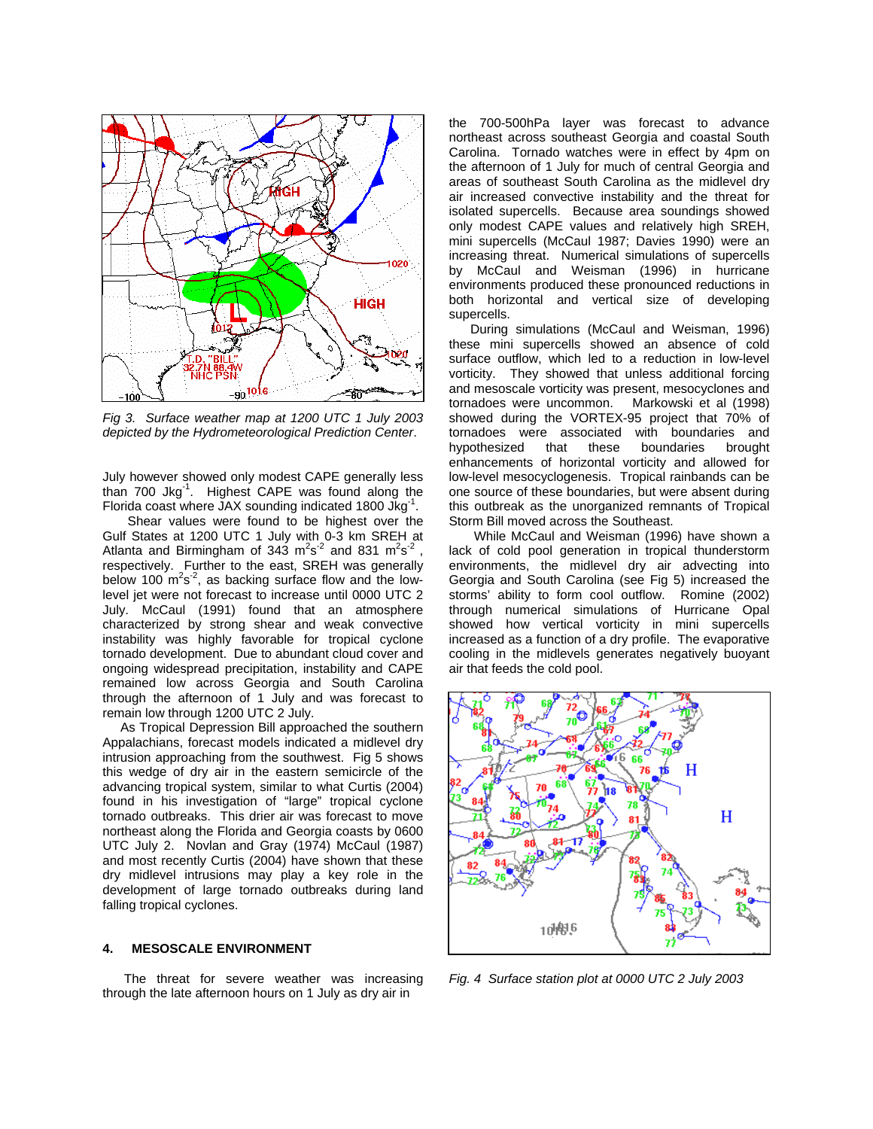

*Fig 3. Surface weather map at 1200 UTC 1 July 2003 depicted by the Hydrometeorological Prediction Center*.

July however showed only modest CAPE generally less than  $700 \text{ Jkg}^{-1}$ . Highest CAPE was found along the Florida coast where JAX sounding indicated 1800 Jkg<sup>-1</sup>.

 Shear values were found to be highest over the Gulf States at 1200 UTC 1 July with 0-3 km SREH at Atlanta and Birmingham of  $343 \text{ m}^2\text{s}^{-2}$  and  $831 \text{ m}^2\text{s}^{-2}$ , respectively. Further to the east, SREH was generally below 100  $\text{m}^2\text{s}^2$ , as backing surface flow and the lowlevel jet were not forecast to increase until 0000 UTC 2 July. McCaul (1991) found that an atmosphere characterized by strong shear and weak convective instability was highly favorable for tropical cyclone tornado development. Due to abundant cloud cover and ongoing widespread precipitation, instability and CAPE remained low across Georgia and South Carolina through the afternoon of 1 July and was forecast to remain low through 1200 UTC 2 July.

 As Tropical Depression Bill approached the southern Appalachians, forecast models indicated a midlevel dry intrusion approaching from the southwest. Fig 5 shows this wedge of dry air in the eastern semicircle of the advancing tropical system, similar to what Curtis (2004) found in his investigation of "large" tropical cyclone tornado outbreaks. This drier air was forecast to move northeast along the Florida and Georgia coasts by 0600 UTC July 2. Novlan and Gray (1974) McCaul (1987) and most recently Curtis (2004) have shown that these dry midlevel intrusions may play a key role in the development of large tornado outbreaks during land falling tropical cyclones.

## **4. MESOSCALE ENVIRONMENT**

The threat for severe weather was increasing through the late afternoon hours on 1 July as dry air in

the 700-500hPa layer was forecast to advance northeast across southeast Georgia and coastal South Carolina. Tornado watches were in effect by 4pm on the afternoon of 1 July for much of central Georgia and areas of southeast South Carolina as the midlevel dry air increased convective instability and the threat for isolated supercells. Because area soundings showed only modest CAPE values and relatively high SREH, mini supercells (McCaul 1987; Davies 1990) were an increasing threat. Numerical simulations of supercells by McCaul and Weisman (1996) in hurricane environments produced these pronounced reductions in both horizontal and vertical size of developing supercells.

 During simulations (McCaul and Weisman, 1996) these mini supercells showed an absence of cold surface outflow, which led to a reduction in low-level vorticity. They showed that unless additional forcing and mesoscale vorticity was present, mesocyclones and tornadoes were uncommon. Markowski et al (1998) showed during the VORTEX-95 project that 70% of tornadoes were associated with boundaries and hypothesized that these boundaries brought enhancements of horizontal vorticity and allowed for low-level mesocyclogenesis. Tropical rainbands can be one source of these boundaries, but were absent during this outbreak as the unorganized remnants of Tropical Storm Bill moved across the Southeast.

 While McCaul and Weisman (1996) have shown a lack of cold pool generation in tropical thunderstorm environments, the midlevel dry air advecting into Georgia and South Carolina (see Fig 5) increased the storms' ability to form cool outflow. Romine (2002) through numerical simulations of Hurricane Opal showed how vertical vorticity in mini supercells increased as a function of a dry profile. The evaporative cooling in the midlevels generates negatively buoyant air that feeds the cold pool.



*Fig. 4 Surface station plot at 0000 UTC 2 July 2003*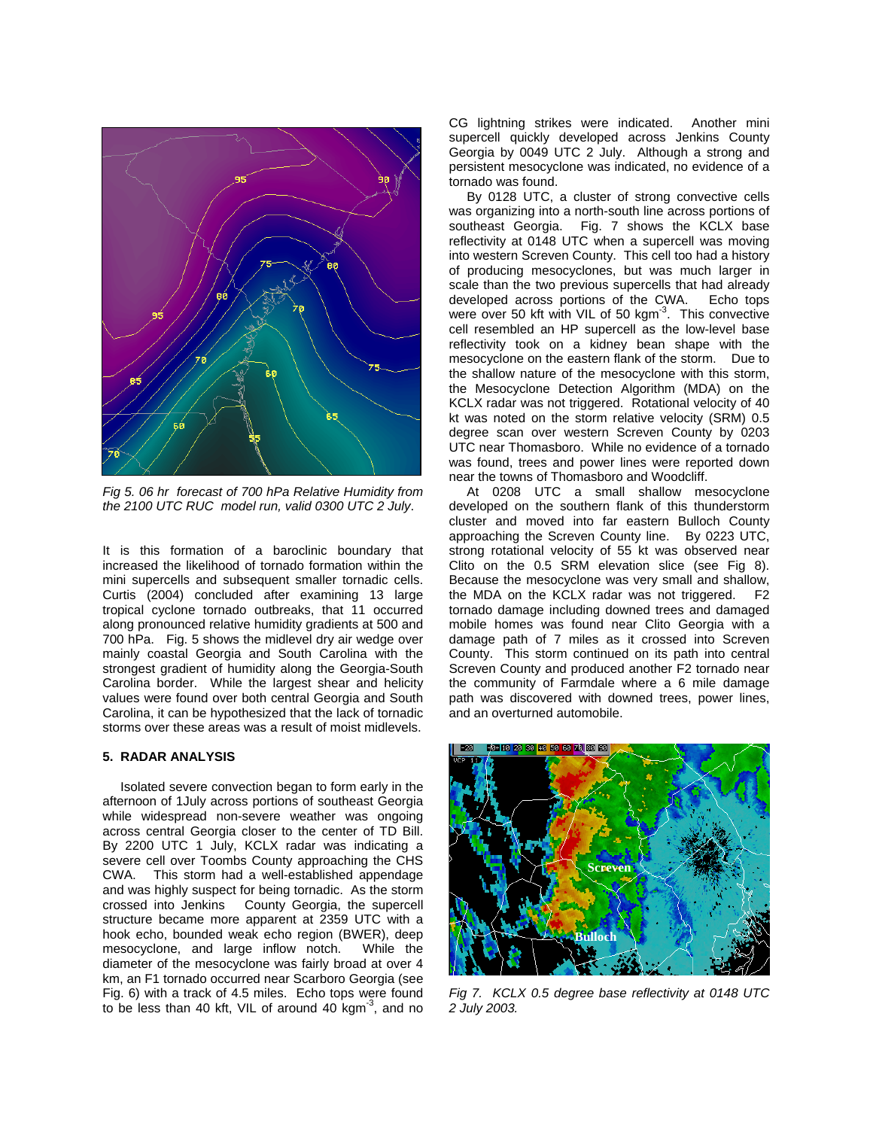

*Fig 5. 06 hr forecast of 700 hPa Relative Humidity from the 2100 UTC RUC model run, valid 0300 UTC 2 July*.

It is this formation of a baroclinic boundary that increased the likelihood of tornado formation within the mini supercells and subsequent smaller tornadic cells. Curtis (2004) concluded after examining 13 large tropical cyclone tornado outbreaks, that 11 occurred along pronounced relative humidity gradients at 500 and 700 hPa. Fig. 5 shows the midlevel dry air wedge over mainly coastal Georgia and South Carolina with the strongest gradient of humidity along the Georgia-South Carolina border. While the largest shear and helicity values were found over both central Georgia and South Carolina, it can be hypothesized that the lack of tornadic storms over these areas was a result of moist midlevels.

### **5. RADAR ANALYSIS**

Isolated severe convection began to form early in the afternoon of 1July across portions of southeast Georgia while widespread non-severe weather was ongoing across central Georgia closer to the center of TD Bill. By 2200 UTC 1 July, KCLX radar was indicating a severe cell over Toombs County approaching the CHS CWA. This storm had a well-established appendage and was highly suspect for being tornadic. As the storm crossed into Jenkins County Georgia, the supercell structure became more apparent at 2359 UTC with a hook echo, bounded weak echo region (BWER), deep mesocyclone, and large inflow notch. While the diameter of the mesocyclone was fairly broad at over 4 km, an F1 tornado occurred near Scarboro Georgia (see Fig. 6) with a track of 4.5 miles. Echo tops were found to be less than 40 kft, VIL of around 40 kgm $3$ , and no

CG lightning strikes were indicated. Another mini supercell quickly developed across Jenkins County Georgia by 0049 UTC 2 July. Although a strong and persistent mesocyclone was indicated, no evidence of a tornado was found.

By 0128 UTC, a cluster of strong convective cells was organizing into a north-south line across portions of southeast Georgia. Fig. 7 shows the KCLX base reflectivity at 0148 UTC when a supercell was moving into western Screven County. This cell too had a history of producing mesocyclones, but was much larger in scale than the two previous supercells that had already developed across portions of the CWA. Echo tops were over 50 kft with VIL of 50 kgm<sup>-3</sup>. This convective cell resembled an HP supercell as the low-level base reflectivity took on a kidney bean shape with the mesocyclone on the eastern flank of the storm. Due to the shallow nature of the mesocyclone with this storm, the Mesocyclone Detection Algorithm (MDA) on the KCLX radar was not triggered. Rotational velocity of 40 kt was noted on the storm relative velocity (SRM) 0.5 degree scan over western Screven County by 0203 UTC near Thomasboro. While no evidence of a tornado was found, trees and power lines were reported down near the towns of Thomasboro and Woodcliff.

At 0208 UTC a small shallow mesocyclone developed on the southern flank of this thunderstorm cluster and moved into far eastern Bulloch County approaching the Screven County line. By 0223 UTC, strong rotational velocity of 55 kt was observed near Clito on the 0.5 SRM elevation slice (see Fig 8). Because the mesocyclone was very small and shallow, the MDA on the KCLX radar was not triggered. F2 tornado damage including downed trees and damaged mobile homes was found near Clito Georgia with a damage path of 7 miles as it crossed into Screven County. This storm continued on its path into central Screven County and produced another F2 tornado near the community of Farmdale where a 6 mile damage path was discovered with downed trees, power lines, and an overturned automobile.



*Fig 7. KCLX 0.5 degree base reflectivity at 0148 UTC 2 July 2003.*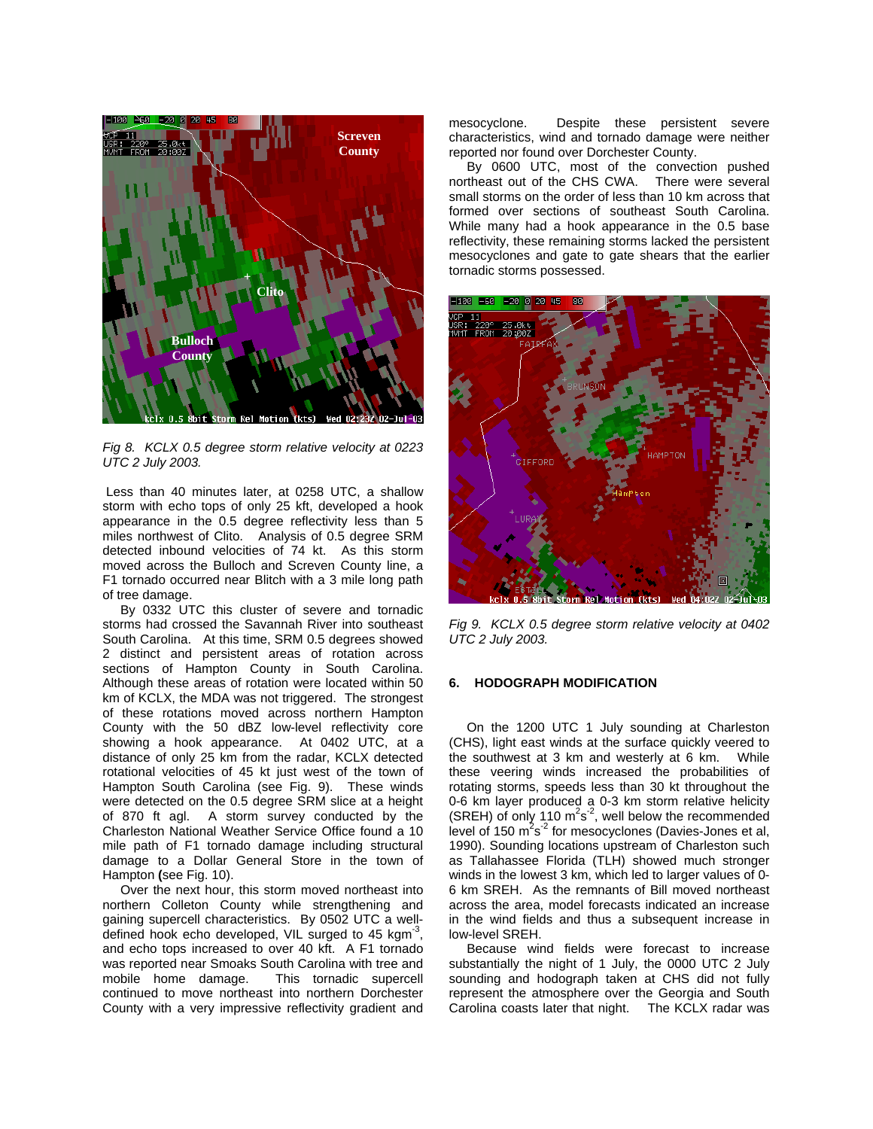

*Fig 8. KCLX 0.5 degree storm relative velocity at 0223 UTC 2 July 2003.* 

Less than 40 minutes later, at 0258 UTC, a shallow storm with echo tops of only 25 kft, developed a hook appearance in the 0.5 degree reflectivity less than 5 miles northwest of Clito. Analysis of 0.5 degree SRM detected inbound velocities of 74 kt. As this storm moved across the Bulloch and Screven County line, a F1 tornado occurred near Blitch with a 3 mile long path of tree damage.

By 0332 UTC this cluster of severe and tornadic storms had crossed the Savannah River into southeast South Carolina. At this time, SRM 0.5 degrees showed 2 distinct and persistent areas of rotation across sections of Hampton County in South Carolina. Although these areas of rotation were located within 50 km of KCLX, the MDA was not triggered. The strongest of these rotations moved across northern Hampton County with the 50 dBZ low-level reflectivity core showing a hook appearance. At 0402 UTC, at a distance of only 25 km from the radar, KCLX detected rotational velocities of 45 kt just west of the town of Hampton South Carolina (see Fig. 9). These winds were detected on the 0.5 degree SRM slice at a height of 870 ft agl. A storm survey conducted by the Charleston National Weather Service Office found a 10 mile path of F1 tornado damage including structural damage to a Dollar General Store in the town of Hampton **(**see Fig. 10).

Over the next hour, this storm moved northeast into northern Colleton County while strengthening and gaining supercell characteristics. By 0502 UTC a welldefined hook echo developed, VIL surged to 45 kgm<sup>-3</sup>, and echo tops increased to over 40 kft. A F1 tornado was reported near Smoaks South Carolina with tree and mobile home damage. This tornadic supercell continued to move northeast into northern Dorchester County with a very impressive reflectivity gradient and

mesocyclone. Despite these persistent severe characteristics, wind and tornado damage were neither reported nor found over Dorchester County.

By 0600 UTC, most of the convection pushed northeast out of the CHS CWA. There were several small storms on the order of less than 10 km across that formed over sections of southeast South Carolina. While many had a hook appearance in the 0.5 base reflectivity, these remaining storms lacked the persistent mesocyclones and gate to gate shears that the earlier tornadic storms possessed. **<sup>+</sup>**



*Fig 9. KCLX 0.5 degree storm relative velocity at 0402 UTC 2 July 2003.* 

## **6. HODOGRAPH MODIFICATION**

On the 1200 UTC 1 July sounding at Charleston (CHS), light east winds at the surface quickly veered to the southwest at 3 km and westerly at 6 km. While these veering winds increased the probabilities of rotating storms, speeds less than 30 kt throughout the 0-6 km layer produced a 0-3 km storm relative helicity (SREH) of only 110  $m^2s^2$ , well below the recommended level of 150  $m^2s^2$  for mesocyclones (Davies-Jones et al, 1990). Sounding locations upstream of Charleston such as Tallahassee Florida (TLH) showed much stronger winds in the lowest 3 km, which led to larger values of 0- 6 km SREH. As the remnants of Bill moved northeast across the area, model forecasts indicated an increase in the wind fields and thus a subsequent increase in low-level SREH.

 Because wind fields were forecast to increase substantially the night of 1 July, the 0000 UTC 2 July sounding and hodograph taken at CHS did not fully represent the atmosphere over the Georgia and South Carolina coasts later that night. The KCLX radar was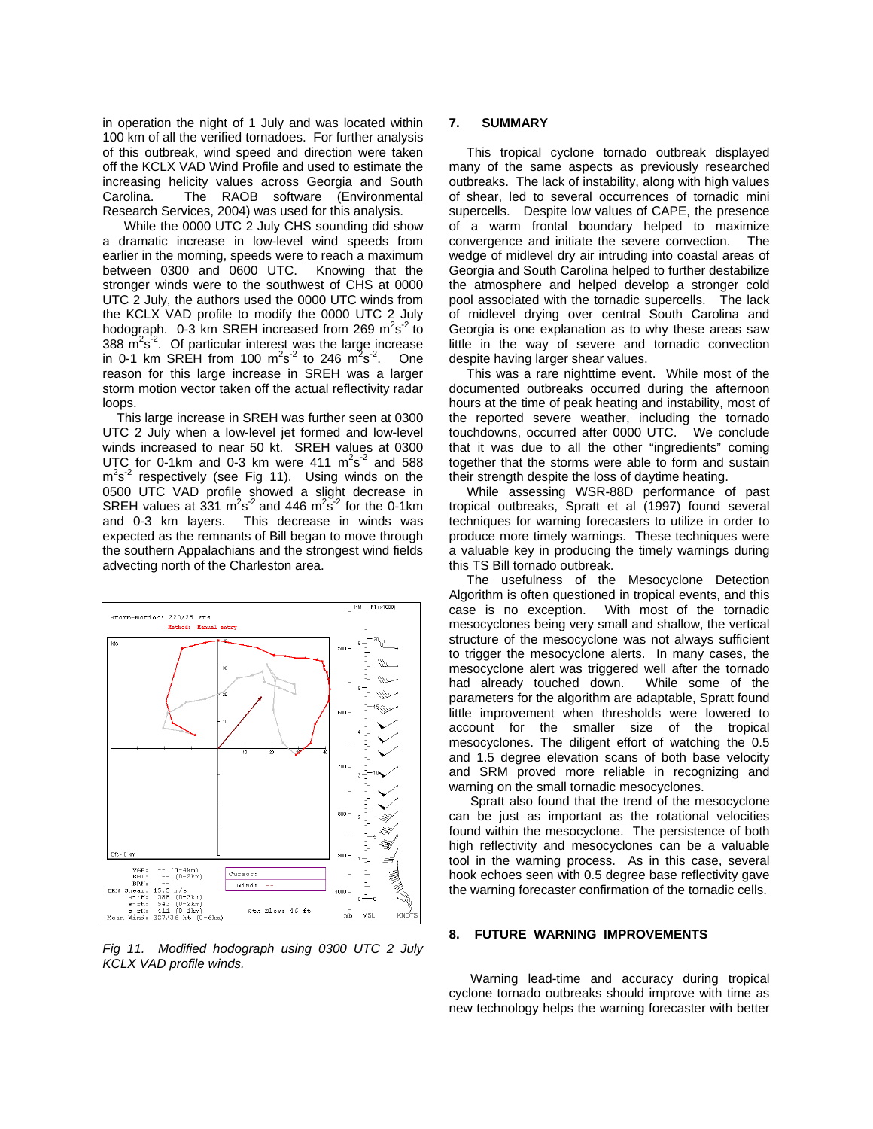in operation the night of 1 July and was located within 100 km of all the verified tornadoes. For further analysis of this outbreak, wind speed and direction were taken off the KCLX VAD Wind Profile and used to estimate the increasing helicity values across Georgia and South Carolina. The RAOB software (Environmental Research Services, 2004) was used for this analysis.

While the 0000 UTC 2 July CHS sounding did show a dramatic increase in low-level wind speeds from earlier in the morning, speeds were to reach a maximum between 0300 and 0600 UTC. Knowing that the stronger winds were to the southwest of CHS at 0000 UTC 2 July, the authors used the 0000 UTC winds from the KCLX VAD profile to modify the 0000 UTC 2 July hodograph.  $0-3$  km SREH increased from 269 m<sup>2</sup>s<sup>-2</sup> to 388  $\mathrm{m}^2\mathrm{s}^2$ . Of particular interest was the large increase in 0-1 km SREH from 100  $\text{m}^2\text{s}^2$  to 246  $\text{m}^2\text{s}^2$ . One reason for this large increase in SREH was a larger storm motion vector taken off the actual reflectivity radar loops.

This large increase in SREH was further seen at 0300 UTC 2 July when a low-level jet formed and low-level winds increased to near 50 kt. SREH values at 0300 UTC for 0-1km and 0-3 km were  $411 \text{ m}^2\text{s}^2$  and 588  $m<sup>2</sup>s<sup>-2</sup>$  respectively (see Fig 11). Using winds on the 0500 UTC VAD profile showed a slight decrease in SREH values at  $331 \text{ m}^2\text{s}^{-2}$  and 446  $\text{m}^2\text{s}^{-2}$  for the 0-1km and 0-3 km layers. This decrease in winds was expected as the remnants of Bill began to move through the southern Appalachians and the strongest wind fields advecting north of the Charleston area.



*Fig 11. Modified hodograph using 0300 UTC 2 July KCLX VAD profile winds.* 

#### **7. SUMMARY**

This tropical cyclone tornado outbreak displayed many of the same aspects as previously researched outbreaks. The lack of instability, along with high values of shear, led to several occurrences of tornadic mini supercells. Despite low values of CAPE, the presence of a warm frontal boundary helped to maximize convergence and initiate the severe convection. The wedge of midlevel dry air intruding into coastal areas of Georgia and South Carolina helped to further destabilize the atmosphere and helped develop a stronger cold pool associated with the tornadic supercells. The lack of midlevel drying over central South Carolina and Georgia is one explanation as to why these areas saw little in the way of severe and tornadic convection despite having larger shear values.

This was a rare nighttime event. While most of the documented outbreaks occurred during the afternoon hours at the time of peak heating and instability, most of the reported severe weather, including the tornado touchdowns, occurred after 0000 UTC. We conclude that it was due to all the other "ingredients" coming together that the storms were able to form and sustain their strength despite the loss of daytime heating.

While assessing WSR-88D performance of past tropical outbreaks, Spratt et al (1997) found several techniques for warning forecasters to utilize in order to produce more timely warnings. These techniques were a valuable key in producing the timely warnings during this TS Bill tornado outbreak.

The usefulness of the Mesocyclone Detection Algorithm is often questioned in tropical events, and this case is no exception. With most of the tornadic mesocyclones being very small and shallow, the vertical structure of the mesocyclone was not always sufficient to trigger the mesocyclone alerts. In many cases, the mesocyclone alert was triggered well after the tornado had already touched down. While some of the parameters for the algorithm are adaptable, Spratt found little improvement when thresholds were lowered to account for the smaller size of the tropical mesocyclones. The diligent effort of watching the 0.5 and 1.5 degree elevation scans of both base velocity and SRM proved more reliable in recognizing and warning on the small tornadic mesocyclones.

Spratt also found that the trend of the mesocyclone can be just as important as the rotational velocities found within the mesocyclone. The persistence of both high reflectivity and mesocyclones can be a valuable tool in the warning process. As in this case, several hook echoes seen with 0.5 degree base reflectivity gave the warning forecaster confirmation of the tornadic cells.

# **8. FUTURE WARNING IMPROVEMENTS**

 Warning lead-time and accuracy during tropical cyclone tornado outbreaks should improve with time as new technology helps the warning forecaster with better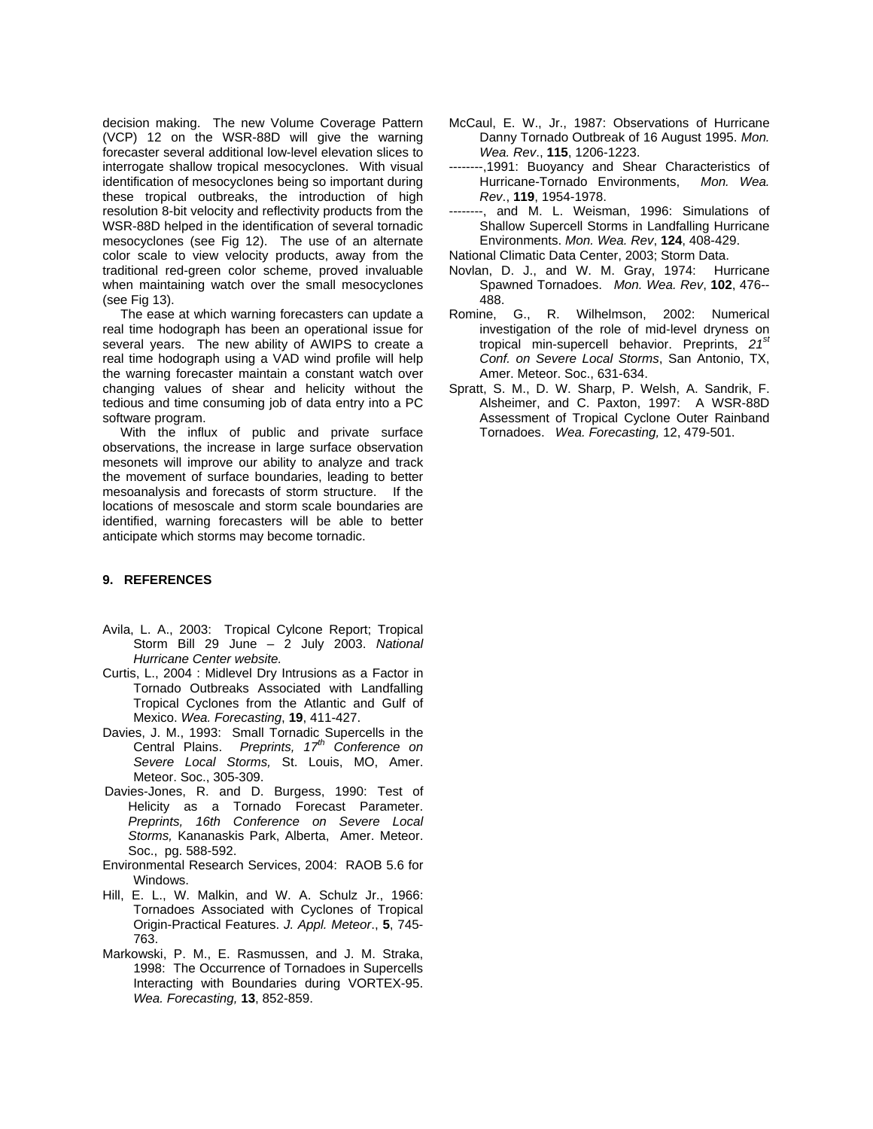decision making. The new Volume Coverage Pattern (VCP) 12 on the WSR-88D will give the warning forecaster several additional low-level elevation slices to interrogate shallow tropical mesocyclones. With visual identification of mesocyclones being so important during these tropical outbreaks, the introduction of high resolution 8-bit velocity and reflectivity products from the WSR-88D helped in the identification of several tornadic mesocyclones (see Fig 12). The use of an alternate color scale to view velocity products, away from the traditional red-green color scheme, proved invaluable when maintaining watch over the small mesocyclones (see Fig 13).

 The ease at which warning forecasters can update a real time hodograph has been an operational issue for several years. The new ability of AWIPS to create a real time hodograph using a VAD wind profile will help the warning forecaster maintain a constant watch over changing values of shear and helicity without the tedious and time consuming job of data entry into a PC software program.

 With the influx of public and private surface observations, the increase in large surface observation mesonets will improve our ability to analyze and track the movement of surface boundaries, leading to better mesoanalysis and forecasts of storm structure. If the locations of mesoscale and storm scale boundaries are identified, warning forecasters will be able to better anticipate which storms may become tornadic.

# **9. REFERENCES**

- Avila, L. A., 2003: Tropical Cylcone Report; Tropical Storm Bill 29 June – 2 July 2003. *National Hurricane Center website.*
- Curtis, L., 2004 : Midlevel Dry Intrusions as a Factor in Tornado Outbreaks Associated with Landfalling Tropical Cyclones from the Atlantic and Gulf of Mexico. *Wea. Forecasting*, **19**, 411-427.
- Davies, J. M., 1993: Small Tornadic Supercells in the Central Plains. *Preprints, 17th Conference on Severe Local Storms,* St. Louis, MO, Amer. Meteor. Soc., 305-309.
- Davies-Jones, R. and D. Burgess, 1990: Test of Helicity as a Tornado Forecast Parameter. *Preprints, 16th Conference on Severe Local Storms,* Kananaskis Park, Alberta, Amer. Meteor. Soc., pg. 588-592.
- Environmental Research Services, 2004: RAOB 5.6 for Windows.
- Hill, E. L., W. Malkin, and W. A. Schulz Jr., 1966: Tornadoes Associated with Cyclones of Tropical Origin-Practical Features. *J. Appl. Meteor*., **5**, 745- 763.
- Markowski, P. M., E. Rasmussen, and J. M. Straka, 1998: The Occurrence of Tornadoes in Supercells Interacting with Boundaries during VORTEX-95. *Wea. Forecasting,* **13**, 852-859.
- McCaul, E. W., Jr., 1987: Observations of Hurricane Danny Tornado Outbreak of 16 August 1995. *Mon. Wea. Rev*., **115**, 1206-1223.
- --------,1991: Buoyancy and Shear Characteristics of Hurricane-Tornado Environments, *Mon. Wea. Rev*., **119**, 1954-1978.
- --, and M. L. Weisman, 1996: Simulations of Shallow Supercell Storms in Landfalling Hurricane Environments. *Mon. Wea. Rev*, **124**, 408-429.

National Climatic Data Center, 2003; Storm Data.

- Novlan, D. J., and W. M. Gray, 1974: Hurricane Spawned Tornadoes. *Mon. Wea. Rev*, **102**, 476-- 488.
- Romine, G., R. Wilhelmson, 2002: Numerical investigation of the role of mid-level dryness on tropical min-supercell behavior. Preprints, *21st Conf. on Severe Local Storms*, San Antonio, TX, Amer. Meteor. Soc., 631-634.
- Spratt, S. M., D. W. Sharp, P. Welsh, A. Sandrik, F. Alsheimer, and C. Paxton, 1997: A WSR-88D Assessment of Tropical Cyclone Outer Rainband Tornadoes. *Wea. Forecasting,* 12, 479-501.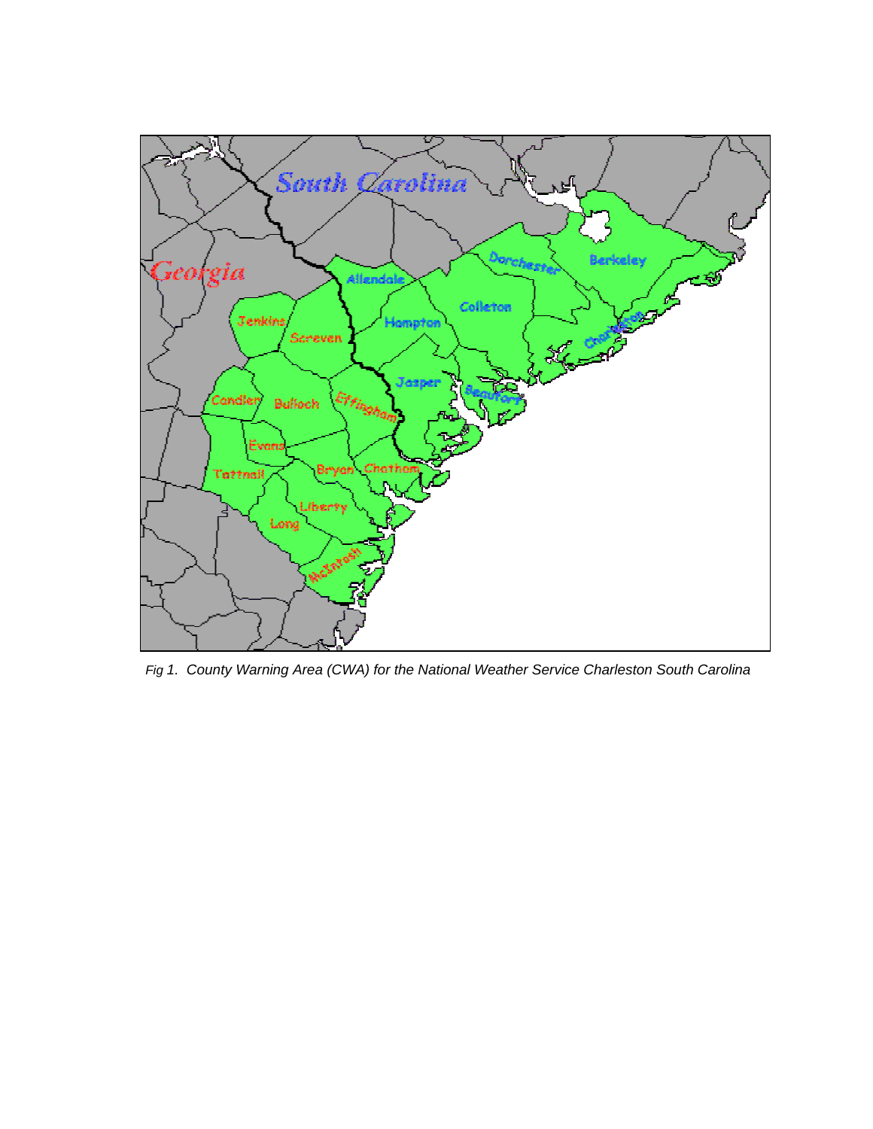

 *Fig 1. County Warning Area (CWA) for the National Weather Service Charleston South Carolina*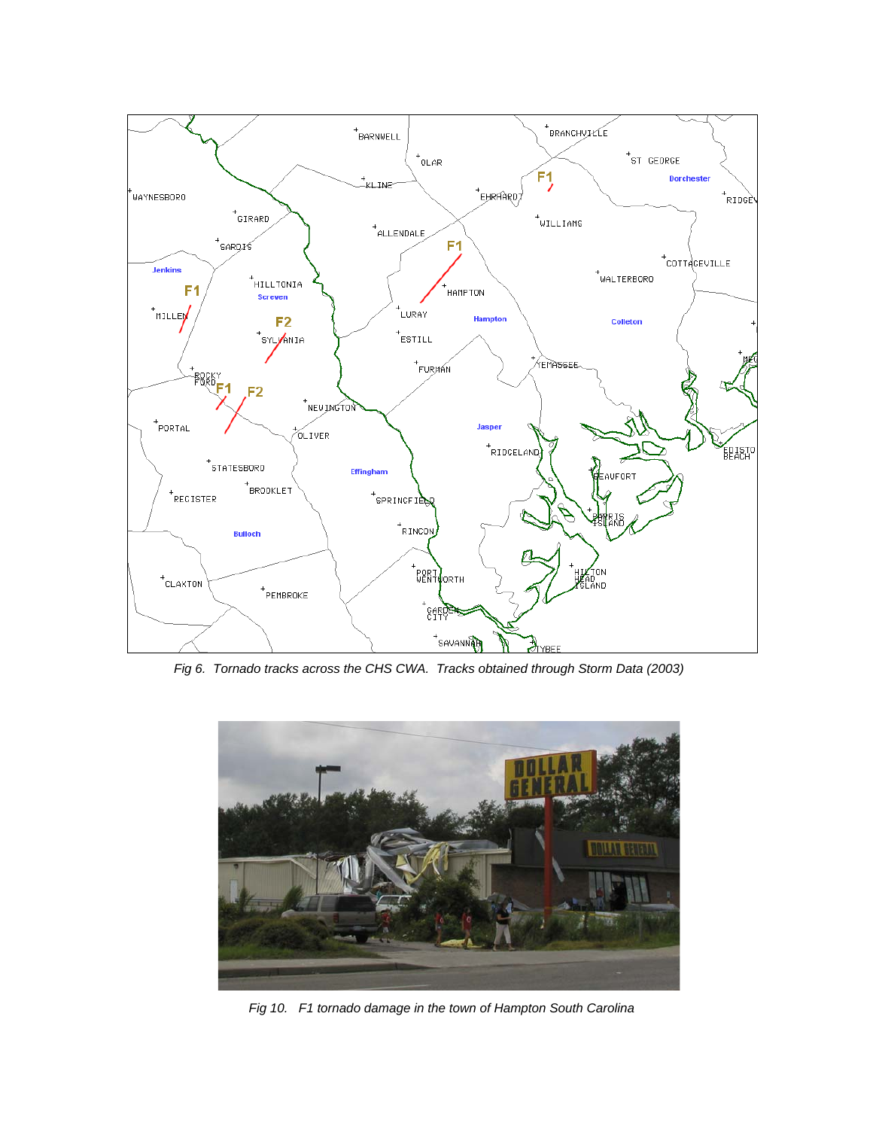

 *Fig 6. Tornado tracks across the CHS CWA. Tracks obtained through Storm Data (2003)*



 *Fig 10. F1 tornado damage in the town of Hampton South Carolina*